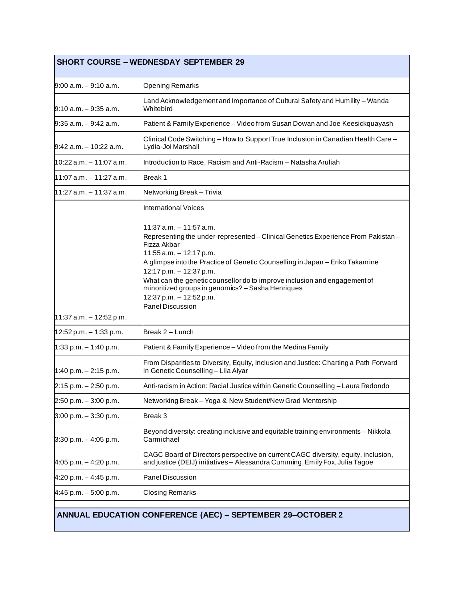| <b>SHORT COURSE - WEDNESDAY SEPTEMBER 29</b> |                                                                                                                                                                                                                                                                                                                                                                                                                                                    |
|----------------------------------------------|----------------------------------------------------------------------------------------------------------------------------------------------------------------------------------------------------------------------------------------------------------------------------------------------------------------------------------------------------------------------------------------------------------------------------------------------------|
| 9:00 a.m. - 9:10 a.m.                        | <b>Opening Remarks</b>                                                                                                                                                                                                                                                                                                                                                                                                                             |
| l9:10 a.m. – 9:35 a.m.                       | Land Acknowledgement and Importance of Cultural Safety and Humility - Wanda<br>Whitebird                                                                                                                                                                                                                                                                                                                                                           |
| 9:35 a.m. – 9:42 a.m.                        | Patient & Family Experience - Video from Susan Dowan and Joe Keesickquayash                                                                                                                                                                                                                                                                                                                                                                        |
| l9:42 a.m. – 10:22 a.m.                      | Clinical Code Switching - How to Support True Inclusion in Canadian Health Care -<br>Lydia-Joi Marshall                                                                                                                                                                                                                                                                                                                                            |
| 10:22 a.m. – 11:07 a.m.                      | Introduction to Race, Racism and Anti-Racism - Natasha Aruliah                                                                                                                                                                                                                                                                                                                                                                                     |
| l11:07 a.m. – 11:27 a.m.                     | Break 1                                                                                                                                                                                                                                                                                                                                                                                                                                            |
| l11:27 a.m. – 11:37 a.m.                     | Networking Break - Trivia                                                                                                                                                                                                                                                                                                                                                                                                                          |
|                                              | <b>International Voices</b>                                                                                                                                                                                                                                                                                                                                                                                                                        |
| 11:37 a.m. - 12:52 p.m.                      | 11:37 a.m. - 11:57 a.m.<br>Representing the under-represented - Clinical Genetics Experience From Pakistan -<br>Fizza Akbar<br>11:55 a.m. - 12:17 p.m.<br>A glimpse into the Practice of Genetic Counselling in Japan - Eriko Takamine<br>12:17 p.m. - 12:37 p.m.<br>What can the genetic counsellor do to improve inclusion and engagement of<br>minoritized groups in genomics? - Sasha Henriques<br>12:37 p.m. - 12:52 p.m.<br>Panel Discussion |
| $12:52 p.m. - 1:33 p.m.$                     | Break 2 – Lunch                                                                                                                                                                                                                                                                                                                                                                                                                                    |
| $1:33$ p.m. $-1:40$ p.m.                     | Patient & Family Experience - Video from the Medina Family                                                                                                                                                                                                                                                                                                                                                                                         |
| $1:40 p.m. - 2:15 p.m.$                      | From Disparities to Diversity, Equity, Inclusion and Justice: Charting a Path Forward<br>in Genetic Counselling - Lila Aiyar                                                                                                                                                                                                                                                                                                                       |
| $2:15$ p.m. $-2:50$ p.m.                     | Anti-racism in Action: Racial Justice within Genetic Counselling – Laura Redondo                                                                                                                                                                                                                                                                                                                                                                   |
| $2:50 p.m. - 3:00 p.m.$                      | Networking Break - Yoga & New Student/New Grad Mentorship                                                                                                                                                                                                                                                                                                                                                                                          |
| $3:00$ p.m. $-3:30$ p.m.                     | Break 3                                                                                                                                                                                                                                                                                                                                                                                                                                            |
| $3:30$ p.m. $-4:05$ p.m.                     | Beyond diversity: creating inclusive and equitable training environments - Nikkola<br>Carmichael                                                                                                                                                                                                                                                                                                                                                   |
| $4:05$ p.m. $-4:20$ p.m.                     | CAGC Board of Directors perspective on current CAGC diversity, equity, inclusion,<br>and justice (DEIJ) initiatives – Alessandra Cumming, Emily Fox, Julia Tagoe                                                                                                                                                                                                                                                                                   |
| $4:20$ p.m. $-4:45$ p.m.                     | <b>Panel Discussion</b>                                                                                                                                                                                                                                                                                                                                                                                                                            |
| $4:45$ p.m. $-5:00$ p.m.                     | <b>Closing Remarks</b>                                                                                                                                                                                                                                                                                                                                                                                                                             |
|                                              | <b>ANNUAL EDUCATION CONFERENCE (AEC) - SEPTEMBER 29-OCTOBER 2</b>                                                                                                                                                                                                                                                                                                                                                                                  |

H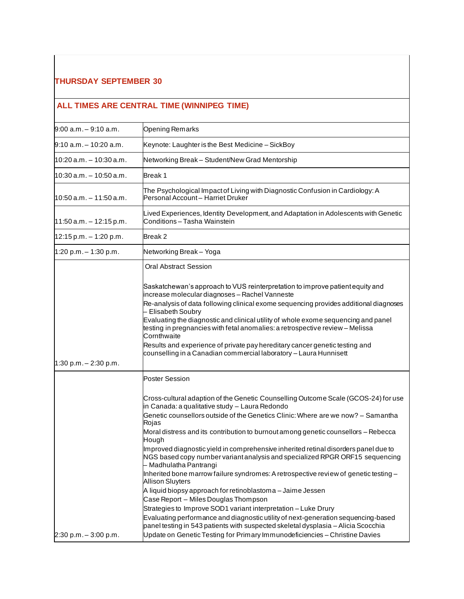#### **THURSDAY SEPTEMBER 30**

## **ALL TIMES ARE CENTRAL TIME (WINNIPEG TIME)**

| $9:00$ a.m. $-9:10$ a.m.   | <b>Opening Remarks</b>                                                                                                                                                                                                                                                                                                                                                                                                                                                                                                                                                                                                                                                                                                                                                                                                                                                                                            |
|----------------------------|-------------------------------------------------------------------------------------------------------------------------------------------------------------------------------------------------------------------------------------------------------------------------------------------------------------------------------------------------------------------------------------------------------------------------------------------------------------------------------------------------------------------------------------------------------------------------------------------------------------------------------------------------------------------------------------------------------------------------------------------------------------------------------------------------------------------------------------------------------------------------------------------------------------------|
| l9:10 a.m. – 10:20 a.m.    | Keynote: Laughter is the Best Medicine - SickBoy                                                                                                                                                                                                                                                                                                                                                                                                                                                                                                                                                                                                                                                                                                                                                                                                                                                                  |
| $10:20$ a.m. $-10:30$ a.m. | Networking Break - Student/New Grad Mentorship                                                                                                                                                                                                                                                                                                                                                                                                                                                                                                                                                                                                                                                                                                                                                                                                                                                                    |
| 10:30 a.m. - 10:50 a.m.    | Break 1                                                                                                                                                                                                                                                                                                                                                                                                                                                                                                                                                                                                                                                                                                                                                                                                                                                                                                           |
| $10:50$ a.m. $-11:50$ a.m. | The Psychological Impact of Living with Diagnostic Confusion in Cardiology: A<br>Personal Account-Harriet Druker                                                                                                                                                                                                                                                                                                                                                                                                                                                                                                                                                                                                                                                                                                                                                                                                  |
| $11:50$ a.m. $-12:15$ p.m. | Lived Experiences, Identity Development, and Adaptation in Adolescents with Genetic<br>Conditions - Tasha Wainstein                                                                                                                                                                                                                                                                                                                                                                                                                                                                                                                                                                                                                                                                                                                                                                                               |
| $12:15$ p.m. $-1:20$ p.m.  | Break 2                                                                                                                                                                                                                                                                                                                                                                                                                                                                                                                                                                                                                                                                                                                                                                                                                                                                                                           |
| 1:20 p.m. $-$ 1:30 p.m.    | Networking Break - Yoga                                                                                                                                                                                                                                                                                                                                                                                                                                                                                                                                                                                                                                                                                                                                                                                                                                                                                           |
| 1:30 p.m. $- 2:30$ p.m.    | <b>Oral Abstract Session</b>                                                                                                                                                                                                                                                                                                                                                                                                                                                                                                                                                                                                                                                                                                                                                                                                                                                                                      |
|                            | Saskatchewan's approach to VUS reinterpretation to improve patient equity and<br>increase molecular diagnoses - Rachel Vanneste<br>Re-analysis of data following clinical exome sequencing provides additional diagnoses<br>- Elisabeth Soubry<br>Evaluating the diagnostic and clinical utility of whole exome sequencing and panel<br>testing in pregnancies with fetal anomalies: a retrospective review - Melissa<br>Cornthwaite<br>Results and experience of private pay hereditary cancer genetic testing and<br>counselling in a Canadian commercial laboratory - Laura Hunnisett                                                                                                                                                                                                                                                                                                                          |
|                            | <b>Poster Session</b>                                                                                                                                                                                                                                                                                                                                                                                                                                                                                                                                                                                                                                                                                                                                                                                                                                                                                             |
|                            | Cross-cultural adaption of the Genetic Counselling Outcome Scale (GCOS-24) for use<br>in Canada: a qualitative study - Laura Redondo<br>Genetic counsellors outside of the Genetics Clinic: Where are we now? - Samantha<br>Rojas<br>Moral distress and its contribution to burnout among genetic counsellors - Rebecca<br>Hough<br>Improved diagnostic yield in comprehensive inherited retinal disorders panel due to<br>NGS based copy number variant analysis and specialized RPGR ORF15 sequencing<br>- Madhulatha Pantrangi<br>Inherited bone marrow failure syndromes: A retrospective review of genetic testing -<br><b>Allison Sluyters</b><br>A liquid biopsy approach for retinoblastoma - Jaime Jessen<br>Case Report - Miles Douglas Thompson<br>Strategies to Improve SOD1 variant interpretation - Luke Drury<br>Evaluating performance and diagnostic utility of next-generation sequencing-based |
| $2:30 p.m. - 3:00 p.m.$    | panel testing in 543 patients with suspected skeletal dysplasia - Alicia Scocchia<br>Update on Genetic Testing for Primary Immunodeficiencies - Christine Davies                                                                                                                                                                                                                                                                                                                                                                                                                                                                                                                                                                                                                                                                                                                                                  |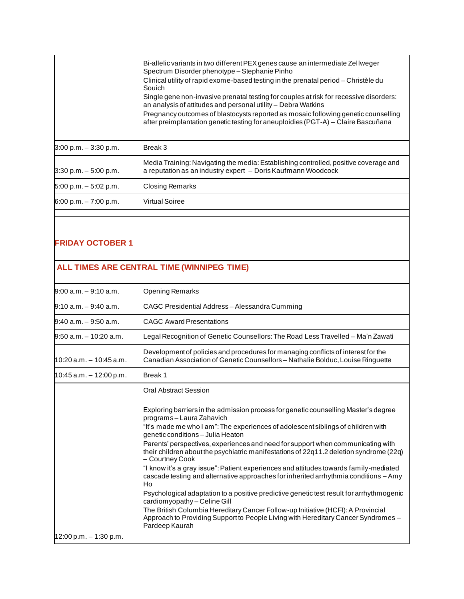|                          | Bi-allelic variants in two different PEX genes cause an intermediate Zellweger<br>Spectrum Disorder phenotype - Stephanie Pinho<br>Clinical utility of rapid exome-based testing in the prenatal period – Christèle du |
|--------------------------|------------------------------------------------------------------------------------------------------------------------------------------------------------------------------------------------------------------------|
|                          | Souich<br>Single gene non-invasive prenatal testing for couples at risk for recessive disorders:<br>an analysis of attitudes and personal utility - Debra Watkins                                                      |
|                          | Pregnancy outcomes of blastocysts reported as mosaic following genetic counselling<br>after preimplantation genetic testing for aneuploidies (PGT-A) - Claire Bascuñana                                                |
| $3:00 p.m. - 3:30 p.m.$  | Break 3                                                                                                                                                                                                                |
| $3:30$ p.m. $-5:00$ p.m. | Media Training: Navigating the media: Establishing controlled, positive coverage and<br>a reputation as an industry expert - Doris Kaufmann Woodcock                                                                   |
| $5:00$ p.m. $-5:02$ p.m. | <b>Closing Remarks</b>                                                                                                                                                                                                 |
| $6:00 p.m. - 7:00 p.m.$  | Nirtual Soiree                                                                                                                                                                                                         |
|                          |                                                                                                                                                                                                                        |

### **FRIDAY OCTOBER 1**

# **ALL TIMES ARE CENTRAL TIME (WINNIPEG TIME)**

| $9:00$ a.m. $-9:10$ a.m.   | <b>Opening Remarks</b>                                                                                                                                                                     |
|----------------------------|--------------------------------------------------------------------------------------------------------------------------------------------------------------------------------------------|
| 9:10 a.m. - 9:40 a.m.      | CAGC Presidential Address - Alessandra Cumming                                                                                                                                             |
| l9:40 a.m. - 9:50 a.m.     | <b>CAGC Award Presentations</b>                                                                                                                                                            |
| $9:50$ a.m. $-10:20$ a.m.  | Legal Recognition of Genetic Counsellors: The Road Less Travelled - Ma'n Zawati                                                                                                            |
| $10:20$ a.m. $-10:45$ a.m. | Development of policies and procedures for managing conflicts of interest for the<br>Canadian Association of Genetic Counsellors - Nathalie Bolduc, Louise Ringuette                       |
| $10:45$ a.m. $-12:00$ p.m. | Break 1                                                                                                                                                                                    |
|                            | Oral Abstract Session                                                                                                                                                                      |
|                            | Exploring barriers in the admission process for genetic counselling Master's degree<br>programs - Laura Zahavich                                                                           |
|                            | "It's made me who I am": The experiences of adolescent siblings of children with<br>genetic conditions - Julia Heaton                                                                      |
|                            | Parents' perspectives, experiences and need for support when communicating with<br>their children about the psychiatric manifestations of 22q11.2 deletion syndrome (22q)<br>Courtney Cook |
|                            | "I know it's a gray issue": Patient experiences and attitudes towards family-mediated<br>cascade testing and alternative approaches for inherited arrhythmia conditions – Amy<br>Ho        |
|                            | Psychological adaptation to a positive predictive genetic test result for arrhythmogenic<br>cardiomyopathy – Celine Gill                                                                   |
|                            | The British Columbia Hereditary Cancer Follow-up Initiative (HCFI): A Provincial<br>Approach to Providing Support to People Living with Hereditary Cancer Syndromes -<br>Pardeep Kaurah    |
| $12:00$ p.m. $-1:30$ p.m.  |                                                                                                                                                                                            |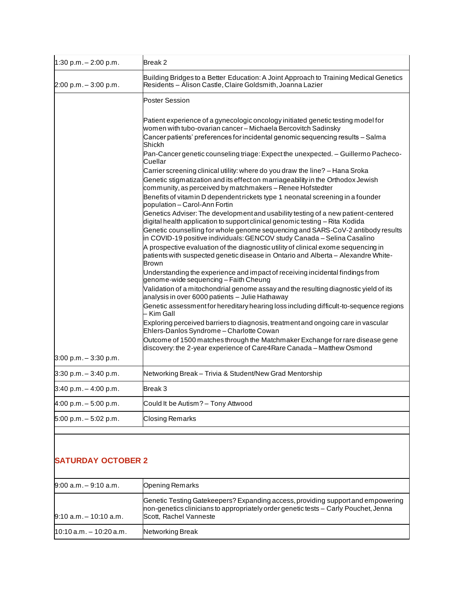| 1:30 p.m. $- 2:00$ p.m.  | Break 2                                                                                                                                                                                 |
|--------------------------|-----------------------------------------------------------------------------------------------------------------------------------------------------------------------------------------|
| 2:00 p.m. - 3:00 p.m.    | Building Bridges to a Better Education: A Joint Approach to Training Medical Genetics<br>Residents - Alison Castle, Claire Goldsmith, Joanna Lazier                                     |
|                          | <b>Poster Session</b>                                                                                                                                                                   |
|                          | Patient experience of a gynecologic oncology initiated genetic testing model for<br>women with tubo-ovarian cancer - Michaela Bercovitch Sadinsky                                       |
|                          | Cancer patients' preferences for incidental genomic sequencing results – Salma<br>Shickh                                                                                                |
|                          | Pan-Cancer genetic counseling triage: Expect the unexpected. - Guillermo Pacheco-<br>Cuellar                                                                                            |
|                          | Carrier screening clinical utility: where do you draw the line? - Hana Sroka                                                                                                            |
|                          | Genetic stigmatization and its effect on marriageability in the Orthodox Jewish<br>community, as perceived by matchmakers – Renee Hofstedter                                            |
|                          | Benefits of vitamin D dependent rickets type 1 neonatal screening in a founder<br>population - Carol-Ann Fortin                                                                         |
|                          | Genetics Adviser: The development and usability testing of a new patient-centered<br>digital health application to support clinical genomic testing - Rita Kodida                       |
|                          | Genetic counselling for whole genome sequencing and SARS-CoV-2 antibody results<br>in COVID-19 positive individuals: GENCOV study Canada - Selina Casalino                              |
|                          | A prospective evaluation of the diagnostic utility of clinical exome sequencing in<br>patients with suspected genetic disease in Ontario and Alberta - Alexandre White-<br><b>Brown</b> |
|                          | Understanding the experience and impact of receiving incidental findings from<br>genome-wide sequencing - Faith Cheung                                                                  |
|                          | Validation of a mitochondrial genome assay and the resulting diagnostic yield of its<br>analysis in over 6000 patients - Julie Hathaway                                                 |
|                          | Genetic assessment for hereditary hearing loss including difficult-to-sequence regions<br>- Kim Gall                                                                                    |
|                          | Exploring perceived barriers to diagnosis, treatment and ongoing care in vascular<br>Ehlers-Danlos Syndrome - Charlotte Cowan                                                           |
|                          | Outcome of 1500 matches through the Matchmaker Exchange for rare disease gene<br>discovery: the 2-year experience of Care4Rare Canada - Matthew Osmond                                  |
| $3:00$ p.m. $-3:30$ p.m. |                                                                                                                                                                                         |
| $3:30$ p.m. $-3:40$ p.m. | Networking Break - Trivia & Student/New Grad Mentorship                                                                                                                                 |
| $3:40 p.m. - 4:00 p.m.$  | Break 3                                                                                                                                                                                 |
| $4:00 p.m. - 5:00 p.m.$  | Could It be Autism? - Tony Attwood                                                                                                                                                      |
| 5:00 p.m. - 5:02 p.m.    | <b>Closing Remarks</b>                                                                                                                                                                  |

### **SATURDAY OCTOBER 2**

| $9:00$ a.m. $-9:10$ a.m.   | <b>Opening Remarks</b>                                                                                                                                                                            |
|----------------------------|---------------------------------------------------------------------------------------------------------------------------------------------------------------------------------------------------|
| $9:10$ a.m. $-10:10$ a.m.  | Genetic Testing Gatekeepers? Expanding access, providing support and empowering<br>Inon-genetics clinicians to appropriately order genetic tests – Carly Pouchet, Jenna<br>Scott, Rachel Vanneste |
| $10:10$ a.m. $-10:20$ a.m. | Networking Break                                                                                                                                                                                  |